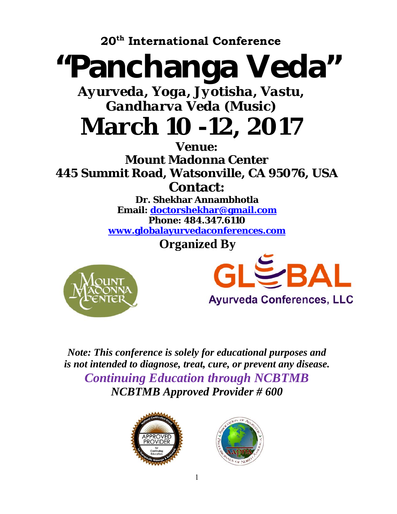**20th International Conference** 

# "Panchanga Veda"

*Ayurveda, Yoga, Jyotisha, Vastu, Gandharva Veda (Music)*

## **March 10 -12, 2017**

**Venue: Mount Madonna Center 445 Summit Road, Watsonville, CA 95076, USA Contact:** 

**Dr. Shekhar Annambhotla Email: doctorshekhar@gmail.com Phone: 484.347.6110 www.globalayurvedaconferences.com**

 **Organized By** 





*Note: This conference is solely for educational purposes and is not intended to diagnose, treat, cure, or prevent any disease. Continuing Education through NCBTMB NCBTMB Approved Provider # 600* 



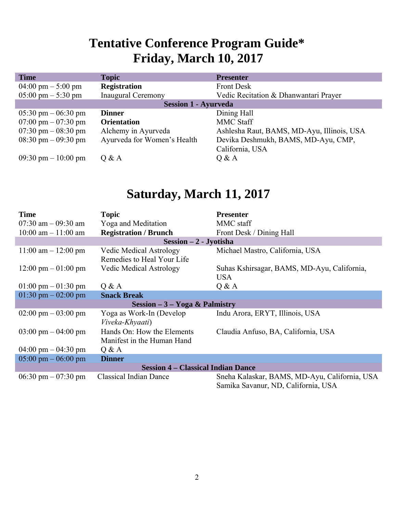## **Tentative Conference Program Guide\* Friday, March 10, 2017**

| <b>Time</b>                           | <b>Topic</b>                | <b>Presenter</b>                           |  |  |
|---------------------------------------|-----------------------------|--------------------------------------------|--|--|
| 04:00 pm $-$ 5:00 pm                  | <b>Registration</b>         | <b>Front Desk</b>                          |  |  |
| $05:00 \text{ pm} - 5:30 \text{ pm}$  | <b>Inaugural Ceremony</b>   | Vedic Recitation & Dhanwantari Prayer      |  |  |
| <b>Session 1 - Ayurveda</b>           |                             |                                            |  |  |
| $05:30 \text{ pm} - 06:30 \text{ pm}$ | <b>Dinner</b>               | Dining Hall                                |  |  |
| 07:00 pm $-$ 07:30 pm                 | <b>Orientation</b>          | <b>MMC Staff</b>                           |  |  |
| 07:30 pm $-$ 08:30 pm                 | Alchemy in Ayurveda         | Ashlesha Raut, BAMS, MD-Ayu, Illinois, USA |  |  |
| $08:30 \text{ pm} - 09:30 \text{ pm}$ | Ayurveda for Women's Health | Devika Deshmukh, BAMS, MD-Ayu, CMP,        |  |  |
|                                       |                             | California, USA                            |  |  |
| 09:30 pm $-10:00$ pm                  | 0 & A                       | Q & A                                      |  |  |

### **Saturday, March 11, 2017**

| <b>Time</b>                               | <b>Topic</b>                                                 | <b>Presenter</b>                                                                     |  |  |
|-------------------------------------------|--------------------------------------------------------------|--------------------------------------------------------------------------------------|--|--|
| 07:30 am $-$ 09:30 am                     | Yoga and Meditation                                          | MMC staff                                                                            |  |  |
| $10:00$ am $- 11:00$ am                   | <b>Registration / Brunch</b>                                 | Front Desk / Dining Hall                                                             |  |  |
| $Session - 2 - Jyotisha$                  |                                                              |                                                                                      |  |  |
| $11:00$ am $- 12:00$ pm                   | <b>Vedic Medical Astrology</b><br>Remedies to Heal Your Life | Michael Mastro, California, USA                                                      |  |  |
| $12:00 \text{ pm} - 01:00 \text{ pm}$     | <b>Vedic Medical Astrology</b>                               | Suhas Kshirsagar, BAMS, MD-Ayu, California,<br><b>USA</b>                            |  |  |
| $01:00 \text{ pm} - 01:30 \text{ pm}$     | Q & A                                                        | Q & A                                                                                |  |  |
| 01:30 pm $-$ 02:00 pm                     | <b>Snack Break</b>                                           |                                                                                      |  |  |
| Session $-3$ – Yoga & Palmistry           |                                                              |                                                                                      |  |  |
| $02:00 \text{ pm} - 03:00 \text{ pm}$     | Yoga as Work-In (Develop<br>Viveka-Khyaati)                  | Indu Arora, ERYT, Illinois, USA                                                      |  |  |
| $03:00 \text{ pm} - 04:00 \text{ pm}$     | Hands On: How the Elements<br>Manifest in the Human Hand     | Claudia Anfuso, BA, California, USA                                                  |  |  |
| $04:00 \text{ pm} - 04:30 \text{ pm}$     | Q & A                                                        |                                                                                      |  |  |
| $05:00 \text{ pm} - 06:00 \text{ pm}$     | <b>Dinner</b>                                                |                                                                                      |  |  |
| <b>Session 4 – Classical Indian Dance</b> |                                                              |                                                                                      |  |  |
| 06:30 pm $-$ 07:30 pm                     | <b>Classical Indian Dance</b>                                | Sneha Kalaskar, BAMS, MD-Ayu, California, USA<br>Samika Savanur, ND, California, USA |  |  |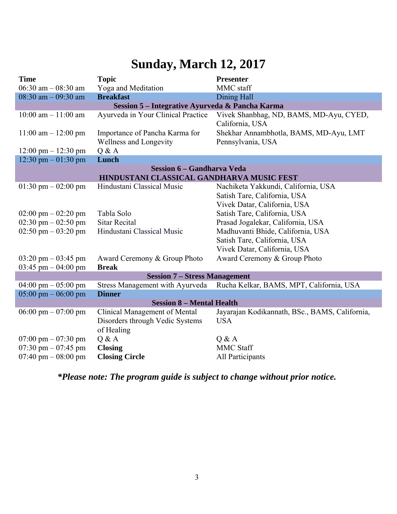## **Sunday, March 12, 2017**

| <b>Time</b>                               | <b>Topic</b>                                             | <b>Presenter</b>                                                                                    |  |  |
|-------------------------------------------|----------------------------------------------------------|-----------------------------------------------------------------------------------------------------|--|--|
| 06:30 am $-$ 08:30 am                     | Yoga and Meditation                                      | MMC staff                                                                                           |  |  |
| $08:30$ am $-09:30$ am                    | <b>Breakfast</b>                                         | <b>Dining Hall</b>                                                                                  |  |  |
|                                           | Session 5 - Integrative Ayurveda & Pancha Karma          |                                                                                                     |  |  |
| $10:00$ am $- 11:00$ am                   | Ayurveda in Your Clinical Practice                       | Vivek Shanbhag, ND, BAMS, MD-Ayu, CYED,<br>California, USA                                          |  |  |
| $11:00$ am $- 12:00$ pm                   | Importance of Pancha Karma for<br>Wellness and Longevity | Shekhar Annambhotla, BAMS, MD-Ayu, LMT<br>Pennsylvania, USA                                         |  |  |
| $12:00 \text{ pm} - 12:30 \text{ pm}$     | Q & A                                                    |                                                                                                     |  |  |
| 12:30 pm $-$ 01:30 pm                     | Lunch                                                    |                                                                                                     |  |  |
| <b>Session 6 – Gandharva Veda</b>         |                                                          |                                                                                                     |  |  |
| HINDUSTANI CLASSICAL GANDHARVA MUSIC FEST |                                                          |                                                                                                     |  |  |
| 01:30 pm $-$ 02:00 pm                     | Hindustani Classical Music                               | Nachiketa Yakkundi, California, USA<br>Satish Tare, California, USA<br>Vivek Datar, California, USA |  |  |
| $02:00 \text{ pm} - 02:20 \text{ pm}$     | Tabla Solo                                               | Satish Tare, California, USA                                                                        |  |  |
| 02:30 pm $-$ 02:50 pm                     | <b>Sitar Recital</b>                                     | Prasad Jogalekar, California, USA                                                                   |  |  |
| 02:50 pm $-$ 03:20 pm                     | Hindustani Classical Music                               | Madhuvanti Bhide, California, USA                                                                   |  |  |
|                                           |                                                          | Satish Tare, California, USA                                                                        |  |  |
|                                           |                                                          | Vivek Datar, California, USA                                                                        |  |  |
| $03:20 \text{ pm} - 03:45 \text{ pm}$     | Award Ceremony & Group Photo                             | Award Ceremony & Group Photo                                                                        |  |  |
| $03:45$ pm $-04:00$ pm                    | <b>Break</b>                                             |                                                                                                     |  |  |
| <b>Session 7 - Stress Management</b>      |                                                          |                                                                                                     |  |  |
| $04:00 \text{ pm} - 05:00 \text{ pm}$     |                                                          | Stress Management with Ayurveda Rucha Kelkar, BAMS, MPT, California, USA                            |  |  |
| $05:00 \text{ pm} - 06:00 \text{ pm}$     | <b>Dinner</b>                                            |                                                                                                     |  |  |
| <b>Session 8 - Mental Health</b>          |                                                          |                                                                                                     |  |  |
| 06:00 pm $-$ 07:00 pm                     | Clinical Management of Mental                            | Jayarajan Kodikannath, BSc., BAMS, California,                                                      |  |  |
|                                           | Disorders through Vedic Systems                          | <b>USA</b>                                                                                          |  |  |
|                                           | of Healing                                               |                                                                                                     |  |  |
| $07:00 \text{ pm} - 07:30 \text{ pm}$     | Q & A                                                    | Q & A                                                                                               |  |  |
| 07:30 pm $-$ 07:45 pm                     | <b>Closing</b>                                           | MMC Staff                                                                                           |  |  |
| 07:40 pm $-$ 08:00 pm                     | <b>Closing Circle</b>                                    | All Participants                                                                                    |  |  |

*\*Please note: The program guide is subject to change without prior notice.*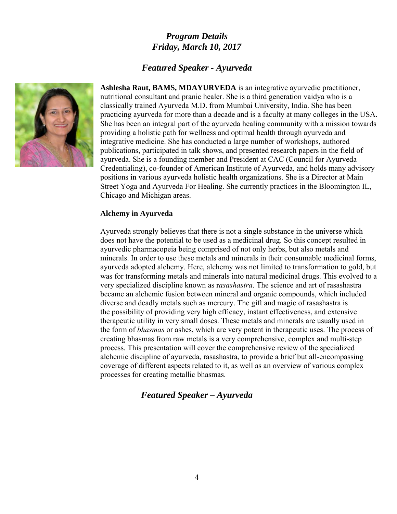#### *Program Details Friday, March 10, 2017*

#### *Featured Speaker - Ayurveda*



**Ashlesha Raut, BAMS, MDAYURVEDA** is an integrative ayurvedic practitioner, nutritional consultant and pranic healer. She is a third generation vaidya who is a classically trained Ayurveda M.D. from Mumbai University, India. She has been practicing ayurveda for more than a decade and is a faculty at many colleges in the USA. She has been an integral part of the ayurveda healing community with a mission towards providing a holistic path for wellness and optimal health through ayurveda and integrative medicine. She has conducted a large number of workshops, authored publications, participated in talk shows, and presented research papers in the field of ayurveda. She is a founding member and President at CAC (Council for Ayurveda Credentialing), co-founder of American Institute of Ayurveda, and holds many advisory positions in various ayurveda holistic health organizations. She is a Director at Main Street Yoga and Ayurveda For Healing. She currently practices in the Bloomington IL, Chicago and Michigan areas.

#### **Alchemy in Ayurveda**

Ayurveda strongly believes that there is not a single substance in the universe which does not have the potential to be used as a medicinal drug. So this concept resulted in ayurvedic pharmacopeia being comprised of not only herbs, but also metals and minerals. In order to use these metals and minerals in their consumable medicinal forms, ayurveda adopted alchemy. Here, alchemy was not limited to transformation to gold, but was for transforming metals and minerals into natural medicinal drugs. This evolved to a very specialized discipline known as r*asashastra*. The science and art of rasashastra became an alchemic fusion between mineral and organic compounds, which included diverse and deadly metals such as mercury. The gift and magic of rasashastra is the possibility of providing very high efficacy, instant effectiveness, and extensive therapeutic utility in very small doses. These metals and minerals are usually used in the form of *bhasmas* or ashes, which are very potent in therapeutic uses. The process of creating bhasmas from raw metals is a very comprehensive, complex and multi-step process. This presentation will cover the comprehensive review of the specialized alchemic discipline of ayurveda, rasashastra, to provide a brief but all-encompassing coverage of different aspects related to it, as well as an overview of various complex processes for creating metallic bhasmas.

#### *Featured Speaker – Ayurveda*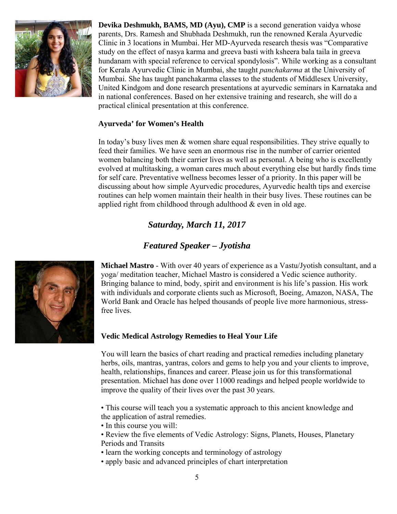

**Devika Deshmukh, BAMS, MD (Ayu), CMP** is a second generation vaidya whose parents, Drs. Ramesh and Shubhada Deshmukh, run the renowned Kerala Ayurvedic Clinic in 3 locations in Mumbai. Her MD-Ayurveda research thesis was "Comparative study on the effect of nasya karma and greeva basti with ksheera bala taila in greeva hundanam with special reference to cervical spondylosis". While working as a consultant for Kerala Ayurvedic Clinic in Mumbai, she taught *panchakarma* at the University of Mumbai. She has taught panchakarma classes to the students of Middlesex University, United Kindgom and done research presentations at ayurvedic seminars in Karnataka and in national conferences. Based on her extensive training and research, she will do a practical clinical presentation at this conference.

#### **Ayurveda' for Women's Health**

In today's busy lives men & women share equal responsibilities. They strive equally to feed their families. We have seen an enormous rise in the number of carrier oriented women balancing both their carrier lives as well as personal. A being who is excellently evolved at multitasking, a woman cares much about everything else but hardly finds time for self care. Preventative wellness becomes lesser of a priority. In this paper will be discussing about how simple Ayurvedic procedures, Ayurvedic health tips and exercise routines can help women maintain their health in their busy lives. These routines can be applied right from childhood through adulthood & even in old age.

#### *Saturday, March 11, 2017*

#### *Featured Speaker – Jyotisha*



**Michael Mastro** - With over 40 years of experience as a Vastu/Jyotish consultant, and a yoga/ meditation teacher, Michael Mastro is considered a Vedic science authority. Bringing balance to mind, body, spirit and environment is his life's passion. His work with individuals and corporate clients such as Microsoft, Boeing, Amazon, NASA, The World Bank and Oracle has helped thousands of people live more harmonious, stressfree lives.

#### **Vedic Medical Astrology Remedies to Heal Your Life**

You will learn the basics of chart reading and practical remedies including planetary herbs, oils, mantras, yantras, colors and gems to help you and your clients to improve, health, relationships, finances and career. Please join us for this transformational presentation. Michael has done over 11000 readings and helped people worldwide to improve the quality of their lives over the past 30 years.

• This course will teach you a systematic approach to this ancient knowledge and the application of astral remedies.

- In this course you will:
- Review the five elements of Vedic Astrology: Signs, Planets, Houses, Planetary Periods and Transits
- learn the working concepts and terminology of astrology
- apply basic and advanced principles of chart interpretation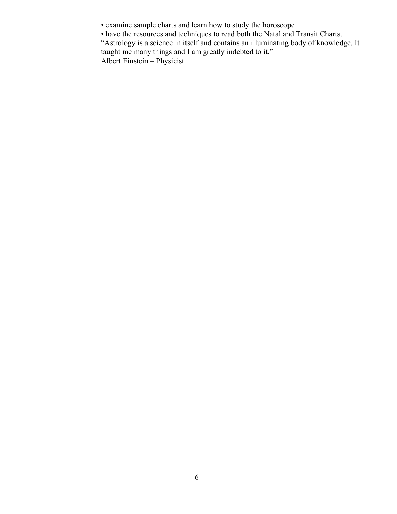- examine sample charts and learn how to study the horoscope
- have the resources and techniques to read both the Natal and Transit Charts.

"Astrology is a science in itself and contains an illuminating body of knowledge. It taught me many things and I am greatly indebted to it."

Albert Einstein – Physicist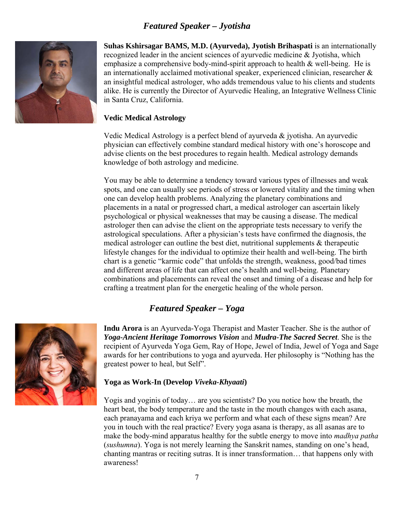#### *Featured Speaker – Jyotisha*



**Suhas Kshirsagar BAMS, M.D. (Ayurveda), Jyotish Brihaspati** is an internationally recognized leader in the ancient sciences of ayurvedic medicine & Jyotisha, which emphasize a comprehensive body-mind-spirit approach to health & well-being. He is an internationally acclaimed motivational speaker, experienced clinician, researcher & an insightful medical astrologer, who adds tremendous value to his clients and students alike. He is currently the Director of Ayurvedic Healing, an Integrative Wellness Clinic in Santa Cruz, California.

#### **Vedic Medical Astrology**

Vedic Medical Astrology is a perfect blend of ayurveda  $\&$  jyotisha. An ayurvedic physician can effectively combine standard medical history with one's horoscope and advise clients on the best procedures to regain health. Medical astrology demands knowledge of both astrology and medicine.

You may be able to determine a tendency toward various types of illnesses and weak spots, and one can usually see periods of stress or lowered vitality and the timing when one can develop health problems. Analyzing the planetary combinations and placements in a natal or progressed chart, a medical astrologer can ascertain likely psychological or physical weaknesses that may be causing a disease. The medical astrologer then can advise the client on the appropriate tests necessary to verify the astrological speculations. After a physician's tests have confirmed the diagnosis, the medical astrologer can outline the best diet, nutritional supplements  $\&$  therapeutic lifestyle changes for the individual to optimize their health and well-being. The birth chart is a genetic "karmic code" that unfolds the strength, weakness, good/bad times and different areas of life that can affect one's health and well-being. Planetary combinations and placements can reveal the onset and timing of a disease and help for crafting a treatment plan for the energetic healing of the whole person.

#### *Featured Speaker – Yoga*



**Indu Arora** is an Ayurveda-Yoga Therapist and Master Teacher. She is the author of *Yoga-Ancient Heritage Tomorrows Vision* and *Mudra-The Sacred Secret*. She is the recipient of Ayurveda Yoga Gem, Ray of Hope, Jewel of India, Jewel of Yoga and Sage awards for her contributions to yoga and ayurveda. Her philosophy is "Nothing has the greatest power to heal, but Self".

#### **Yoga as Work-In (Develop** *Viveka-Khyaati***)**

Yogis and yoginis of today… are you scientists? Do you notice how the breath, the heart beat, the body temperature and the taste in the mouth changes with each asana, each pranayama and each kriya we perform and what each of these signs mean? Are you in touch with the real practice? Every yoga asana is therapy, as all asanas are to make the body-mind apparatus healthy for the subtle energy to move into *madhya patha* (*sushumna*). Yoga is not merely learning the Sanskrit names, standing on one's head, chanting mantras or reciting sutras. It is inner transformation… that happens only with awareness!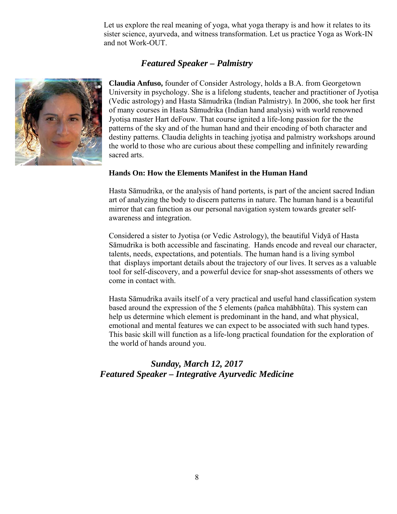Let us explore the real meaning of yoga, what yoga therapy is and how it relates to its sister science, ayurveda, and witness transformation. Let us practice Yoga as Work-IN and not Work-OUT.

#### *Featured Speaker – Palmistry*



**Claudia Anfuso,** founder of Consider Astrology, holds a B.A. from Georgetown University in psychology. She is a lifelong students, teacher and practitioner of Jyotiṣa (Vedic astrology) and Hasta Sāmudrika (Indian Palmistry). In 2006, she took her first of many courses in Hasta Sāmudrika (Indian hand analysis) with world renowned Jyotisa master Hart deFouw. That course ignited a life-long passion for the the patterns of the sky and of the human hand and their encoding of both character and destiny patterns. Claudia delights in teaching jyotisa and palmistry workshops around the world to those who are curious about these compelling and infinitely rewarding sacred arts.

#### **Hands On: How the Elements Manifest in the Human Hand**

Hasta Sāmudrika, or the analysis of hand portents, is part of the ancient sacred Indian art of analyzing the body to discern patterns in nature. The human hand is a beautiful mirror that can function as our personal navigation system towards greater selfawareness and integration.

Considered a sister to Jyotisa (or Vedic Astrology), the beautiful Vidya of Hasta Sāmudrika is both accessible and fascinating. Hands encode and reveal our character, talents, needs, expectations, and potentials. The human hand is a living symbol that displays important details about the trajectory of our lives. It serves as a valuable tool for self-discovery, and a powerful device for snap-shot assessments of others we come in contact with.

Hasta Sāmudrika avails itself of a very practical and useful hand classification system based around the expression of the 5 elements (pañca mahābhūta). This system can help us determine which element is predominant in the hand, and what physical, emotional and mental features we can expect to be associated with such hand types. This basic skill will function as a life-long practical foundation for the exploration of the world of hands around you.

#### *Sunday, March 12, 2017 Featured Speaker – Integrative Ayurvedic Medicine*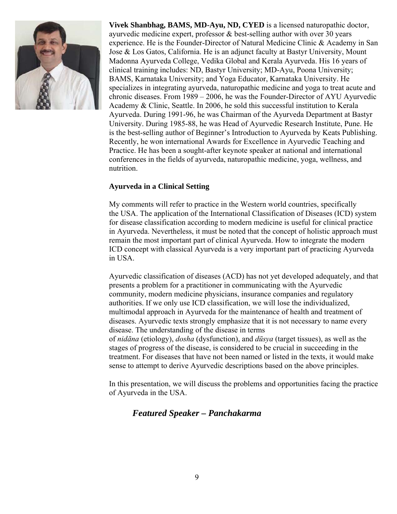

**Vivek Shanbhag, BAMS, MD-Ayu, ND, CYED** is a licensed naturopathic doctor, ayurvedic medicine expert, professor & best-selling author with over 30 years experience. He is the Founder-Director of Natural Medicine Clinic & Academy in San Jose & Los Gatos, California. He is an adjunct faculty at Bastyr University, Mount Madonna Ayurveda College, Vedika Global and Kerala Ayurveda. His 16 years of clinical training includes: ND, Bastyr University; MD-Ayu, Poona University; BAMS, Karnataka University; and Yoga Educator, Karnataka University. He specializes in integrating ayurveda, naturopathic medicine and yoga to treat acute and chronic diseases. From 1989 – 2006, he was the Founder-Director of AYU Ayurvedic Academy & Clinic, Seattle. In 2006, he sold this successful institution to Kerala Ayurveda. During 1991-96, he was Chairman of the Ayurveda Department at Bastyr University. During 1985-88, he was Head of Ayurvedic Research Institute, Pune. He is the best-selling author of Beginner's Introduction to Ayurveda by Keats Publishing. Recently, he won international Awards for Excellence in Ayurvedic Teaching and Practice. He has been a sought-after keynote speaker at national and international conferences in the fields of ayurveda, naturopathic medicine, yoga, wellness, and nutrition.

#### **Ayurveda in a Clinical Setting**

My comments will refer to practice in the Western world countries, specifically the USA. The application of the International Classification of Diseases (ICD) system for disease classification according to modern medicine is useful for clinical practice in Ayurveda. Nevertheless, it must be noted that the concept of holistic approach must remain the most important part of clinical Ayurveda. How to integrate the modern ICD concept with classical Ayurveda is a very important part of practicing Ayurveda in USA.

Ayurvedic classification of diseases (ACD) has not yet developed adequately, and that presents a problem for a practitioner in communicating with the Ayurvedic community, modern medicine physicians, insurance companies and regulatory authorities. If we only use ICD classification, we will lose the individualized, multimodal approach in Ayurveda for the maintenance of health and treatment of diseases. Ayurvedic texts strongly emphasize that it is not necessary to name every disease. The understanding of the disease in terms

of *nidāna* (etiology), *dosha* (dysfunction), and *dūsya* (target tissues), as well as the stages of progress of the disease, is considered to be crucial in succeeding in the treatment. For diseases that have not been named or listed in the texts, it would make sense to attempt to derive Ayurvedic descriptions based on the above principles.

In this presentation, we will discuss the problems and opportunities facing the practice of Ayurveda in the USA.

#### *Featured Speaker – Panchakarma*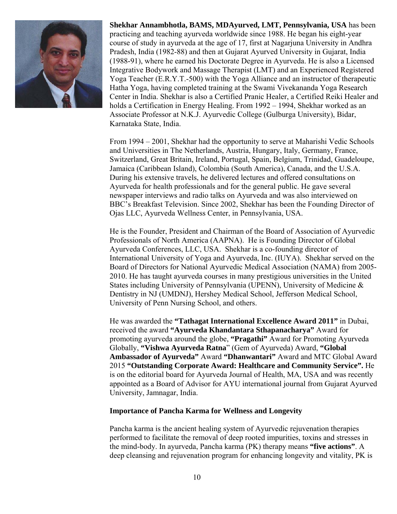

**Shekhar Annambhotla, BAMS, MDAyurved, LMT, Pennsylvania, USA** has been practicing and teaching ayurveda worldwide since 1988. He began his eight-year course of study in ayurveda at the age of 17, first at Nagarjuna University in Andhra Pradesh, India (1982-88) and then at Gujarat Ayurved University in Gujarat, India (1988-91), where he earned his Doctorate Degree in Ayurveda. He is also a Licensed Integrative Bodywork and Massage Therapist (LMT) and an Experienced Registered Yoga Teacher (E.R.Y.T.-500) with the Yoga Alliance and an instructor of therapeutic Hatha Yoga, having completed training at the Swami Vivekananda Yoga Research Center in India. Shekhar is also a Certified Pranic Healer, a Certified Reiki Healer and holds a Certification in Energy Healing. From 1992 – 1994, Shekhar worked as an Associate Professor at N.K.J. Ayurvedic College (Gulburga University), Bidar, Karnataka State, India.

From 1994 – 2001, Shekhar had the opportunity to serve at Maharishi Vedic Schools and Universities in The Netherlands, Austria, Hungary, Italy, Germany, France, Switzerland, Great Britain, Ireland, Portugal, Spain, Belgium, Trinidad, Guadeloupe, Jamaica (Caribbean Island), Colombia (South America), Canada, and the U.S.A. During his extensive travels, he delivered lectures and offered consultations on Ayurveda for health professionals and for the general public. He gave several newspaper interviews and radio talks on Ayurveda and was also interviewed on BBC's Breakfast Television. Since 2002, Shekhar has been the Founding Director of Ojas LLC, Ayurveda Wellness Center, in Pennsylvania, USA.

He is the Founder, President and Chairman of the Board of Association of Ayurvedic Professionals of North America (AAPNA). He is Founding Director of Global Ayurveda Conferences, LLC, USA. Shekhar is a co-founding director of International University of Yoga and Ayurveda, Inc. (IUYA). Shekhar served on the Board of Directors for National Ayurvedic Medical Association (NAMA) from 2005- 2010. He has taught ayurveda courses in many prestigious universities in the United States including University of Pennsylvania (UPENN), University of Medicine & Dentistry in NJ (UMDNJ), Hershey Medical School, Jefferson Medical School, University of Penn Nursing School, and others.

He was awarded the **"Tathagat International Excellence Award 2011"** in Dubai, received the award **"Ayurveda Khandantara Sthapanacharya"** Award for promoting ayurveda around the globe, **"Pragathi"** Award for Promoting Ayurveda Globally, **"Vishwa Ayurveda Ratna**" (Gem of Ayurveda) Award, **"Global Ambassador of Ayurveda"** Award **"Dhanwantari"** Award and MTC Global Award 2015 **"Outstanding Corporate Award: Healthcare and Community Service".** He is on the editorial board for Ayurveda Journal of Health, MA, USA and was recently appointed as a Board of Advisor for AYU international journal from Gujarat Ayurved University, Jamnagar, India.

#### **Importance of Pancha Karma for Wellness and Longevity**

Pancha karma is the ancient healing system of Ayurvedic rejuvenation therapies performed to facilitate the removal of deep rooted impurities, toxins and stresses in the mind-body. In ayurveda, Pancha karma (PK) therapy means **"five actions"**. A deep cleansing and rejuvenation program for enhancing longevity and vitality, PK is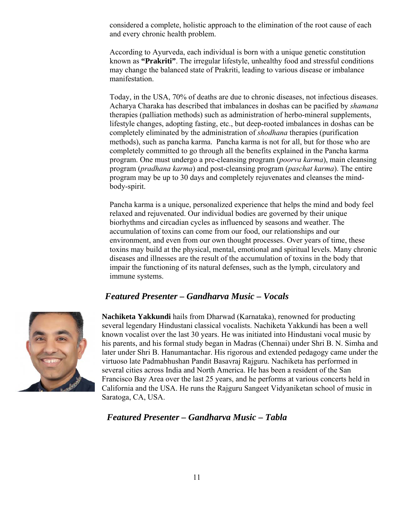considered a complete, holistic approach to the elimination of the root cause of each and every chronic health problem.

According to Ayurveda, each individual is born with a unique genetic constitution known as **"Prakriti"**. The irregular lifestyle, unhealthy food and stressful conditions may change the balanced state of Prakriti, leading to various disease or imbalance manifestation.

Today, in the USA, 70% of deaths are due to chronic diseases, not infectious diseases. Acharya Charaka has described that imbalances in doshas can be pacified by *shamana* therapies (palliation methods) such as administration of herbo-mineral supplements, lifestyle changes, adopting fasting, etc., but deep-rooted imbalances in doshas can be completely eliminated by the administration of *shodhana* therapies (purification methods), such as pancha karma. Pancha karma is not for all, but for those who are completely committed to go through all the benefits explained in the Pancha karma program. One must undergo a pre-cleansing program (*poorva karma*), main cleansing program (*pradhana karma*) and post-cleansing program (*paschat karma*). The entire program may be up to 30 days and completely rejuvenates and cleanses the mindbody-spirit.

Pancha karma is a unique, personalized experience that helps the mind and body feel relaxed and rejuvenated. Our individual bodies are governed by their unique biorhythms and circadian cycles as influenced by seasons and weather. The accumulation of toxins can come from our food, our relationships and our environment, and even from our own thought processes. Over years of time, these toxins may build at the physical, mental, emotional and spiritual levels. Many chronic diseases and illnesses are the result of the accumulation of toxins in the body that impair the functioning of its natural defenses, such as the lymph, circulatory and immune systems.

#### *Featured Presenter – Gandharva Music – Vocals*



**Nachiketa Yakkundi** hails from Dharwad (Karnataka), renowned for producting several legendary Hindustani classical vocalists. Nachiketa Yakkundi has been a well known vocalist over the last 30 years. He was initiated into Hindustani vocal music by his parents, and his formal study began in Madras (Chennai) under Shri B. N. Simha and later under Shri B. Hanumantachar. His rigorous and extended pedagogy came under the virtuoso late Padmabhushan Pandit Basavraj Rajguru. Nachiketa has performed in several cities across India and North America. He has been a resident of the San Francisco Bay Area over the last 25 years, and he performs at various concerts held in California and the USA. He runs the Rajguru Sangeet Vidyaniketan school of music in Saratoga, CA, USA.

#### *Featured Presenter – Gandharva Music – Tabla*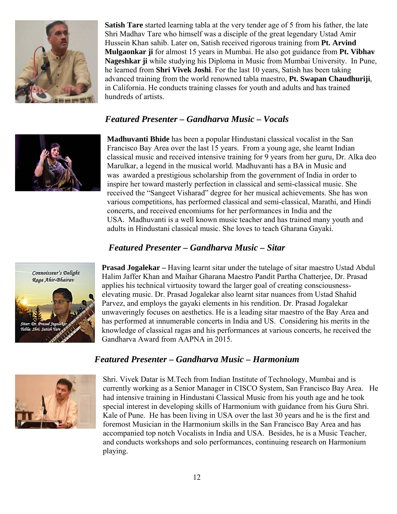

**Satish Tare** started learning tabla at the very tender age of 5 from his father, the late Shri Madhav Tare who himself was a disciple of the great legendary Ustad Amir Hussein Khan sahib. Later on, Satish received rigorous training from **Pt. Arvind Mulgaonkar ji** for almost 15 years in Mumbai. He also got guidance from **Pt. Vibhav Nageshkar ji** while studying his Diploma in Music from Mumbai University. In Pune, he learned from **Shri Vivek Joshi**. For the last 10 years, Satish has been taking advanced training from the world renowned tabla maestro, **Pt. Swapan Chaudhuriji**, in California. He conducts training classes for youth and adults and has trained hundreds of artists.

#### *Featured Presenter – Gandharva Music – Vocals*



**Madhuvanti Bhide** has been a popular Hindustani classical vocalist in the San Francisco Bay Area over the last 15 years. From a young age, she learnt Indian classical music and received intensive training for 9 years from her guru, Dr. Alka deo Marulkar, a legend in the musical world. Madhuvanti has a BA in Music and was awarded a prestigious scholarship from the government of India in order to inspire her toward masterly perfection in classical and semi-classical music. She received the "Sangeet Visharad" degree for her musical achievements. She has won various competitions, has performed classical and semi-classical, Marathi, and Hindi concerts, and received encomiums for her performances in India and the USA. Madhuvanti is a well known music teacher and has trained many youth and adults in Hindustani classical music. She loves to teach Gharana Gayaki.

#### *Featured Presenter – Gandharva Music – Sitar*



**Prasad Jogalekar –** Having learnt sitar under the tutelage of sitar maestro Ustad Abdul Halim Jaffer Khan and Maihar Gharana Maestro Pandit Partha Chatterjee, Dr. Prasad applies his technical virtuosity toward the larger goal of creating consciousnesselevating music. Dr. Prasad Jogalekar also learnt sitar nuances from Ustad Shahid Parvez, and employs the gayaki elements in his rendition. Dr. Prasad Jogalekar unwaveringly focuses on aesthetics. He is a leading sitar maestro of the Bay Area and has performed at innumerable concerts in India and US. Considering his merits in the knowledge of classical ragas and his performances at various concerts, he received the Gandharva Award from AAPNA in 2015.

#### *Featured Presenter – Gandharva Music – Harmonium*



Shri. Vivek Datar is M.Tech from Indian Institute of Technology, Mumbai and is currently working as a Senior Manager in CISCO System, San Francisco Bay Area. He had intensive training in Hindustani Classical Music from his youth age and he took special interest in developing skills of Harmonium with guidance from his Guru Shri. Kale of Pune. He has been living in USA over the last 30 years and he is the first and foremost Musician in the Harmonium skills in the San Francisco Bay Area and has accompanied top notch Vocalists in India and USA. Besides, he is a Music Teacher, and conducts workshops and solo performances, continuing research on Harmonium playing.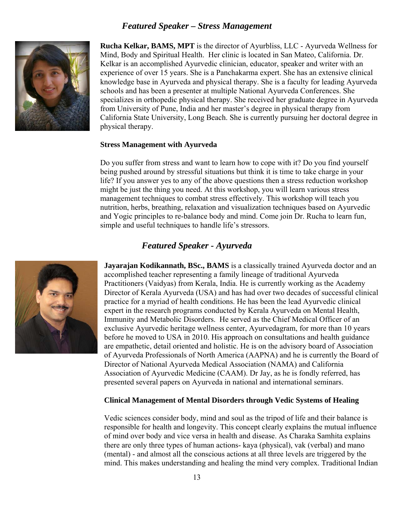#### *Featured Speaker – Stress Management*



**Rucha Kelkar, BAMS, MPT** is the director of Ayurbliss, LLC - Ayurveda Wellness for Mind, Body and Spiritual Health. Her clinic is located in San Mateo, California. Dr. Kelkar is an accomplished Ayurvedic clinician, educator, speaker and writer with an experience of over 15 years. She is a Panchakarma expert. She has an extensive clinical knowledge base in Ayurveda and physical therapy. She is a faculty for leading Ayurveda schools and has been a presenter at multiple National Ayurveda Conferences. She specializes in orthopedic physical therapy. She received her graduate degree in Ayurveda from University of Pune, India and her master's degree in physical therapy from California State University, Long Beach. She is currently pursuing her doctoral degree in physical therapy.

#### **Stress Management with Ayurveda**

Do you suffer from stress and want to learn how to cope with it? Do you find yourself being pushed around by stressful situations but think it is time to take charge in your life? If you answer yes to any of the above questions then a stress reduction workshop might be just the thing you need. At this workshop, you will learn various stress management techniques to combat stress effectively. This workshop will teach you nutrition, herbs, breathing, relaxation and visualization techniques based on Ayurvedic and Yogic principles to re-balance body and mind. Come join Dr. Rucha to learn fun, simple and useful techniques to handle life's stressors.

#### *Featured Speaker - Ayurveda*



**Jayarajan Kodikannath, BSc., BAMS** is a classically trained Ayurveda doctor and an accomplished teacher representing a family lineage of traditional Ayurveda Practitioners (Vaidyas) from Kerala, India. He is currently working as the Academy Director of Kerala Ayurveda (USA) and has had over two decades of successful clinical practice for a myriad of health conditions. He has been the lead Ayurvedic clinical expert in the research programs conducted by Kerala Ayurveda on Mental Health, Immunity and Metabolic Disorders. He served as the Chief Medical Officer of an exclusive Ayurvedic heritage wellness center, Ayurvedagram, for more than 10 years before he moved to USA in 2010. His approach on consultations and health guidance are empathetic, detail oriented and holistic. He is on the advisory board of Association of Ayurveda Professionals of North America (AAPNA) and he is currently the Board of Director of National Ayurveda Medical Association (NAMA) and California Association of Ayurvedic Medicine (CAAM). Dr Jay, as he is fondly referred, has presented several papers on Ayurveda in national and international seminars.

#### **Clinical Management of Mental Disorders through Vedic Systems of Healing**

Vedic sciences consider body, mind and soul as the tripod of life and their balance is responsible for health and longevity. This concept clearly explains the mutual influence of mind over body and vice versa in health and disease. As Charaka Samhita explains there are only three types of human actions- kaya (physical), vak (verbal) and mano (mental) - and almost all the conscious actions at all three levels are triggered by the mind. This makes understanding and healing the mind very complex. Traditional Indian